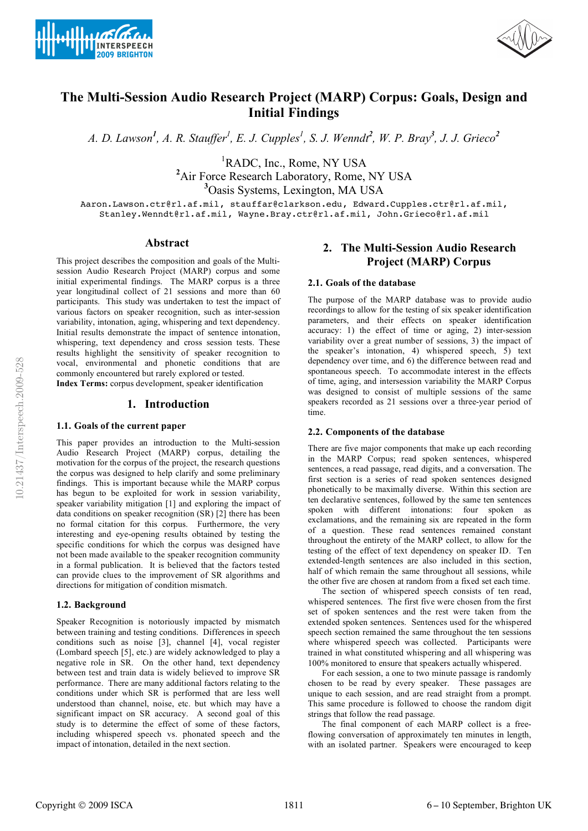



# **The Multi-Session Audio Research Project (MARP) Corpus: Goals, Design and Initial Findings**

*A. D. Lawson<sup>1</sup> , A. R. Stauffer1 , E. J. Cupples1 , S. J. Wenndt<sup>2</sup> , W. P. Bray<sup>3</sup> , J. J. Grieco<sup>2</sup>*

<sup>1</sup>RADC, Inc., Rome, NY USA <sup>2</sup>Air Force Research Laboratory, Rome, NY USA<sup>3</sup>Oasis Systems, Lexington, MA USA

Aaron.Lawson.ctr@rl.af.mil, stauffar@clarkson.edu, Edward.Cupples.ctr@rl.af.mil, Stanley.Wenndt@rl.af.mil, Wayne.Bray.ctr@rl.af.mil, John.Grieco@rl.af.mil

#### **Abstract**

This project describes the composition and goals of the Multisession Audio Research Project (MARP) corpus and some initial experimental findings. The MARP corpus is a three year longitudinal collect of 21 sessions and more than 60 participants. This study was undertaken to test the impact of various factors on speaker recognition, such as inter-session variability, intonation, aging, whispering and text dependency. Initial results demonstrate the impact of sentence intonation, whispering, text dependency and cross session tests. These results highlight the sensitivity of speaker recognition to vocal, environmental and phonetic conditions that are commonly encountered but rarely explored or tested.

**Index Terms:** corpus development, speaker identification

## **1. Introduction**

#### **1.1. Goals of the current paper**

This paper provides an introduction to the Multi-session Audio Research Project (MARP) corpus, detailing the motivation for the corpus of the project, the research questions the corpus was designed to help clarify and some preliminary findings. This is important because while the MARP corpus has begun to be exploited for work in session variability, speaker variability mitigation [1] and exploring the impact of data conditions on speaker recognition (SR) [2] there has been no formal citation for this corpus. Furthermore, the very interesting and eye-opening results obtained by testing the specific conditions for which the corpus was designed have not been made available to the speaker recognition community in a formal publication. It is believed that the factors tested can provide clues to the improvement of SR algorithms and directions for mitigation of condition mismatch.

## **1.2. Background**

Speaker Recognition is notoriously impacted by mismatch between training and testing conditions. Differences in speech conditions such as noise [3], channel [4], vocal register (Lombard speech [5], etc.) are widely acknowledged to play a negative role in SR. On the other hand, text dependency between test and train data is widely believed to improve SR performance. There are many additional factors relating to the conditions under which SR is performed that are less well understood than channel, noise, etc. but which may have a significant impact on SR accuracy. A second goal of this study is to determine the effect of some of these factors, including whispered speech vs. phonated speech and the impact of intonation, detailed in the next section.

## **2. The Multi-Session Audio Research Project (MARP) Corpus**

#### **2.1. Goals of the database**

The purpose of the MARP database was to provide audio recordings to allow for the testing of six speaker identification parameters, and their effects on speaker identification accuracy: 1) the effect of time or aging, 2) inter-session variability over a great number of sessions, 3) the impact of the speaker's intonation, 4) whispered speech, 5) text dependency over time, and 6) the difference between read and spontaneous speech. To accommodate interest in the effects of time, aging, and intersession variability the MARP Corpus was designed to consist of multiple sessions of the same speakers recorded as 21 sessions over a three-year period of time.

#### **2.2. Components of the database**

There are five major components that make up each recording in the MARP Corpus; read spoken sentences, whispered sentences, a read passage, read digits, and a conversation. The first section is a series of read spoken sentences designed phonetically to be maximally diverse. Within this section are ten declarative sentences, followed by the same ten sentences spoken with different intonations: four spoken as exclamations, and the remaining six are repeated in the form of a question. These read sentences remained constant throughout the entirety of the MARP collect, to allow for the testing of the effect of text dependency on speaker ID. Ten extended-length sentences are also included in this section, half of which remain the same throughout all sessions, while the other five are chosen at random from a fixed set each time.

The section of whispered speech consists of ten read, whispered sentences. The first five were chosen from the first set of spoken sentences and the rest were taken from the extended spoken sentences. Sentences used for the whispered speech section remained the same throughout the ten sessions where whispered speech was collected. Participants were trained in what constituted whispering and all whispering was 100% monitored to ensure that speakers actually whispered.

For each session, a one to two minute passage is randomly chosen to be read by every speaker. These passages are unique to each session, and are read straight from a prompt. This same procedure is followed to choose the random digit strings that follow the read passage.

The final component of each MARP collect is a freeflowing conversation of approximately ten minutes in length, with an isolated partner. Speakers were encouraged to keep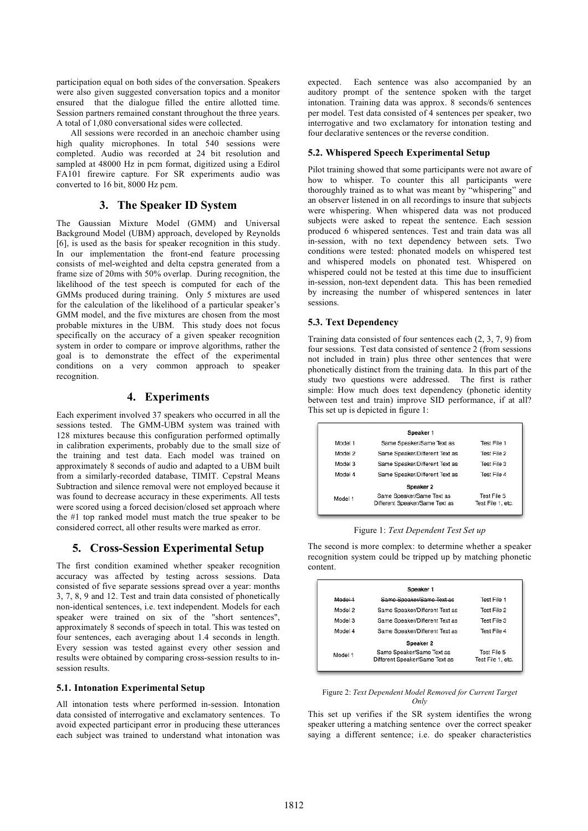participation equal on both sides of the conversation. Speakers were also given suggested conversation topics and a monitor ensured that the dialogue filled the entire allotted time. Session partners remained constant throughout the three years. A total of 1,080 conversational sides were collected.

All sessions were recorded in an anechoic chamber using high quality microphones. In total 540 sessions were completed. Audio was recorded at 24 bit resolution and sampled at 48000 Hz in pcm format, digitized using a Edirol FA101 firewire capture. For SR experiments audio was converted to 16 bit, 8000 Hz pcm.

## **3. The Speaker ID System**

The Gaussian Mixture Model (GMM) and Universal Background Model (UBM) approach, developed by Reynolds [6], is used as the basis for speaker recognition in this study. In our implementation the front-end feature processing consists of mel-weighted and delta cepstra generated from a frame size of 20ms with 50% overlap. During recognition, the likelihood of the test speech is computed for each of the GMMs produced during training. Only 5 mixtures are used for the calculation of the likelihood of a particular speaker's GMM model, and the five mixtures are chosen from the most probable mixtures in the UBM. This study does not focus specifically on the accuracy of a given speaker recognition system in order to compare or improve algorithms, rather the goal is to demonstrate the effect of the experimental conditions on a very common approach to speaker recognition.

## **4. Experiments**

Each experiment involved 37 speakers who occurred in all the sessions tested. The GMM-UBM system was trained with 128 mixtures because this configuration performed optimally in calibration experiments, probably due to the small size of the training and test data. Each model was trained on approximately 8 seconds of audio and adapted to a UBM built from a similarly-recorded database, TIMIT. Cepstral Means Subtraction and silence removal were not employed because it was found to decrease accuracy in these experiments. All tests were scored using a forced decision/closed set approach where the #1 top ranked model must match the true speaker to be considered correct, all other results were marked as error.

## **5. Cross-Session Experimental Setup**

The first condition examined whether speaker recognition accuracy was affected by testing across sessions. Data consisted of five separate sessions spread over a year: months 3, 7, 8, 9 and 12. Test and train data consisted of phonetically non-identical sentences, i.e. text independent. Models for each speaker were trained on six of the "short sentences", approximately 8 seconds of speech in total. This was tested on four sentences, each averaging about 1.4 seconds in length. Every session was tested against every other session and results were obtained by comparing cross-session results to insession results.

#### **5.1. Intonation Experimental Setup**

All intonation tests where performed in-session. Intonation data consisted of interrogative and exclamatory sentences. To avoid expected participant error in producing these utterances each subject was trained to understand what intonation was expected. Each sentence was also accompanied by an auditory prompt of the sentence spoken with the target intonation. Training data was approx. 8 seconds/6 sentences per model. Test data consisted of 4 sentences per speaker, two interrogative and two exclamatory for intonation testing and four declarative sentences or the reverse condition.

#### **5.2. Whispered Speech Experimental Setup**

Pilot training showed that some participants were not aware of how to whisper. To counter this all participants were thoroughly trained as to what was meant by "whispering" and an observer listened in on all recordings to insure that subjects were whispering. When whispered data was not produced subjects were asked to repeat the sentence. Each session produced 6 whispered sentences. Test and train data was all in-session, with no text dependency between sets. Two conditions were tested: phonated models on whispered test and whispered models on phonated test. Whispered on whispered could not be tested at this time due to insufficient in-session, non-text dependent data. This has been remedied by increasing the number of whispered sentences in later sessions.

#### **5.3. Text Dependency**

Training data consisted of four sentences each (2, 3, 7, 9) from four sessions. Test data consisted of sentence 2 (from sessions not included in train) plus three other sentences that were phonetically distinct from the training data. In this part of the study two questions were addressed. The first is rather simple: How much does text dependency (phonetic identity between test and train) improve SID performance, if at all? This set up is depicted in figure 1:

| Speaker 1                                                   |                                  |  |  |  |  |
|-------------------------------------------------------------|----------------------------------|--|--|--|--|
| Same Speaker/Same Text as                                   | Test File 1                      |  |  |  |  |
| Same Speaker/Different Text as                              | Test File 2                      |  |  |  |  |
| Same Speaker/Different Text as                              | Test File 3                      |  |  |  |  |
| Same Speaker/Different Text as                              | Test File 4                      |  |  |  |  |
| Speaker 2                                                   |                                  |  |  |  |  |
| Same Speaker/Same Text as<br>Different Speaker/Same Text as | Test File 5<br>Test File 1, etc. |  |  |  |  |
|                                                             |                                  |  |  |  |  |

#### Figure 1: *Text Dependent Test Set up*

The second is more complex: to determine whether a speaker recognition system could be tripped up by matching phonetic content.

| Speaker 1 |                                                             |                                  |  |  |  |  |
|-----------|-------------------------------------------------------------|----------------------------------|--|--|--|--|
| ModeH     | Same Sneaker/Same Text as                                   | Test File 1                      |  |  |  |  |
| Model 2   | Same Speaker/Different Text as                              | Test File 2                      |  |  |  |  |
| Model 3   | Same Speaker/Different Text as                              | Test File 3                      |  |  |  |  |
| Model 4   | Same Speaker/Different Text as                              | Test File 4                      |  |  |  |  |
| Speaker 2 |                                                             |                                  |  |  |  |  |
| Model 1   | Same Speaker/Same Text as<br>Different Speaker/Same Text as | Test File 5<br>Test File 1, etc. |  |  |  |  |

#### Figure 2: *Text Dependent Model Removed for Current Target Only*

This set up verifies if the SR system identifies the wrong speaker uttering a matching sentence over the correct speaker saying a different sentence; i.e. do speaker characteristics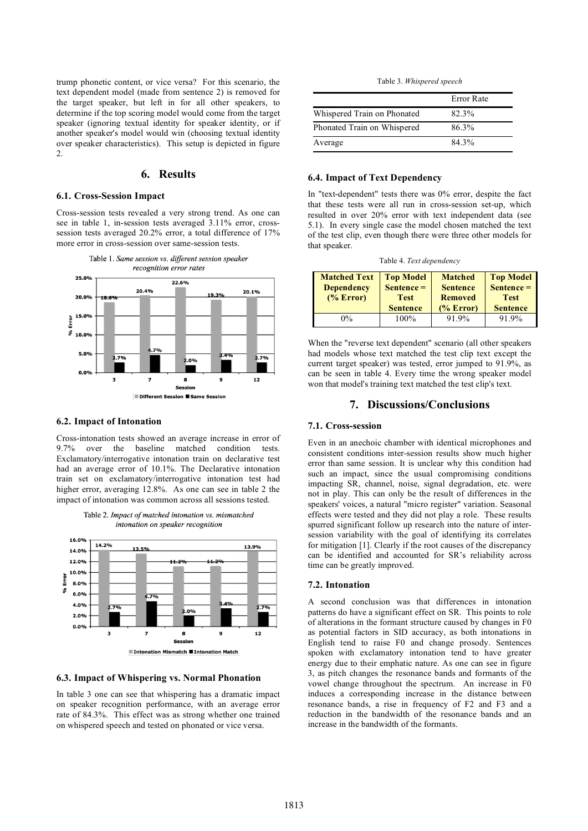trump phonetic content, or vice versa? For this scenario, the text dependent model (made from sentence 2) is removed for the target speaker, but left in for all other speakers, to determine if the top scoring model would come from the target speaker (ignoring textual identity for speaker identity, or if another speaker's model would win (choosing textual identity over speaker characteristics). This setup is depicted in figure 2.

## **6. Results**

#### **6.1. Cross-Session Impact**

Cross-session tests revealed a very strong trend. As one can see in table 1, in-session tests averaged 3.11% error, crosssession tests averaged 20.2% error, a total difference of 17% more error in cross-session over same-session tests.



#### **6.2. Impact of Intonation**

Cross-intonation tests showed an average increase in error of 9.7% over the baseline matched condition tests. Exclamatory/interrogative intonation train on declarative test had an average error of 10.1%. The Declarative intonation train set on exclamatory/interrogative intonation test had higher error, averaging 12.8%. As one can see in table 2 the impact of intonation was common across all sessions tested.





**6.3. Impact of Whispering vs. Normal Phonation**

In table 3 one can see that whispering has a dramatic impact on speaker recognition performance, with an average error rate of 84.3%. This effect was as strong whether one trained on whispered speech and tested on phonated or vice versa.

Table 3. *Whispered speech*

|                             | Error Rate |
|-----------------------------|------------|
| Whispered Train on Phonated | 82.3%      |
| Phonated Train on Whispered | 86.3%      |
| Average                     | 84 3%      |

## **6.4. Impact of Text Dependency**

In "text-dependent" tests there was 0% error, despite the fact that these tests were all run in cross-session set-up, which resulted in over 20% error with text independent data (see 5.1). In every single case the model chosen matched the text of the test clip, even though there were three other models for that speaker.

Table 4. *Text dependency*

| <b>Matched Text</b><br><b>Dependency</b><br>(% Error) | <b>Top Model</b><br>$S$ entence =<br><b>Test</b> | <b>Matched</b><br><b>Sentence</b><br><b>Removed</b> | <b>Top Model</b><br>$\text{Sentence} =$<br><b>Test</b> |
|-------------------------------------------------------|--------------------------------------------------|-----------------------------------------------------|--------------------------------------------------------|
|                                                       | <b>Sentence</b>                                  | (% Error)                                           | <b>Sentence</b>                                        |
| $0\%$                                                 | $100\%$                                          | 91.9%                                               | 91.9%                                                  |

When the "reverse text dependent" scenario (all other speakers had models whose text matched the test clip text except the current target speaker) was tested, error jumped to 91.9%, as can be seen in table 4. Every time the wrong speaker model won that model's training text matched the test clip's text.

## **7. Discussions/Conclusions**

#### **7.1. Cross-session**

Even in an anechoic chamber with identical microphones and consistent conditions inter-session results show much higher error than same session. It is unclear why this condition had such an impact, since the usual compromising conditions impacting SR, channel, noise, signal degradation, etc. were not in play. This can only be the result of differences in the speakers' voices, a natural "micro register" variation. Seasonal effects were tested and they did not play a role. These results spurred significant follow up research into the nature of intersession variability with the goal of identifying its correlates for mitigation [1]. Clearly if the root causes of the discrepancy can be identified and accounted for SR's reliability across time can be greatly improved.

#### **7.2. Intonation**

A second conclusion was that differences in intonation patterns do have a significant effect on SR. This points to role of alterations in the formant structure caused by changes in F0 as potential factors in SID accuracy, as both intonations in English tend to raise F0 and change prosody. Sentences spoken with exclamatory intonation tend to have greater energy due to their emphatic nature. As one can see in figure 3, as pitch changes the resonance bands and formants of the vowel change throughout the spectrum. An increase in F0 induces a corresponding increase in the distance between resonance bands, a rise in frequency of F2 and F3 and a reduction in the bandwidth of the resonance bands and an increase in the bandwidth of the formants.